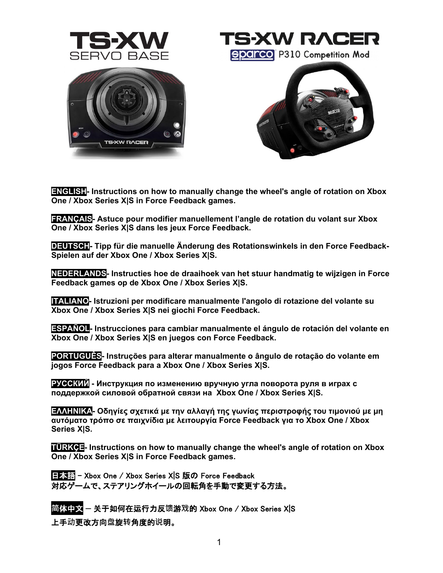

TS•XW RACER **Sparco** P310 Competition Mod





**ENGLISH- [Instructions on how to manually change the wheel's angle of rotation on Xbox](#page-1-0)  One / Xbox Series X|S [in Force Feedback games.](#page-1-0)**

**FRANÇAIS- [Astuce pour modifier manuellement l'angle de rotation du volant sur Xbox](#page-2-0)  One / Xbox Series X|S [dans les jeux Force Feedback.](#page-2-0)**

**DEUTSCH- [Tipp für die manuelle Änderung des Rotationswinkels in den Force Feedback-](#page-3-0)[Spielen auf der Xbox One /](#page-3-0) Xbox Series X|S.**

**NEDERLANDS- [Instructies hoe de draaihoek van het stuur handmatig te wijzigen in Force](#page-4-0)  [Feedback games op de Xbox One / Xbox Series X|S.](#page-4-0)**

**ITALIANO- [Istruzioni per modificare manualmente l'angolo di rotazione del volante su](#page-5-0)  [Xbox One / Xbox Series X|S](#page-5-0) nei giochi Force Feedback.**

**ESPAÑOL-** Instrucciones para cambiar manualmente el ángulo de rotación del volante en **Xbox One / Xbox Series X|S [en juegos con Force Feedback.](#page-6-0)**

**PORTUGUÊS- [Instruções para alterar manualmente o ângulo de rotação do volante em](#page-7-0)  [jogos Force Feedback para a Xbox One / Xbox Series X|S.](#page-7-0)**

**РУССКИЙ - [Инструкция](#page-8-0) по изменению вручную угла поворота руля в играх с поддержкой силовой обратной связи на [Xbox One / Xbox Series X|S.](#page-8-0)**

**ΕΛΛΗΝΙΚΑ- [Οδηγίες σχετικά με την αλλαγή της γωνίας περιστροφής του τιμονιού με μη](#page-9-0)  [αυτόματο τρόπο σε παιχνίδια με λειτουργία](#page-9-0) Force Feedback για το Xbox One / Xbox [Series X|S.](#page-9-0)**

**TÜRKÇE- [Instructions on how to manually change the wheel's angle of rotation on Xbox](#page-10-0)  One / Xbox Series X|S [in Force Feedback games.](#page-10-0)**

日本語 [- Xbox One / Xbox Series X|S](#page-11-0) 版の Force Feedback [対応ゲームで、ステアリングホイールの回転角を手動で変更する方法。](#page-11-0)

**简**体中文 — 关于如何在运行力反**馈**游**戏**的 [Xbox One / Xbox Series X|S](#page-12-0) 

上手**动**[更改方向](#page-12-0)**盘**旋**转**角度的**说**明。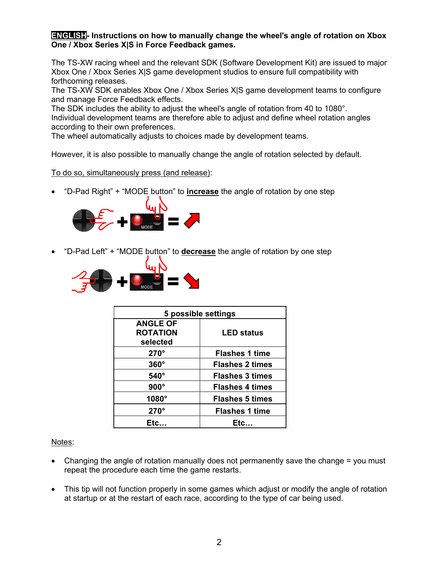### <span id="page-1-0"></span>**ENGLISH- Instructions on how to manually change the wheel's angle of rotation on Xbox One / Xbox Series X|S in Force Feedback games.**

The TS-XW racing wheel and the relevant SDK (Software Development Kit) are issued to major Xbox One / Xbox Series X|S game development studios to ensure full compatibility with forthcoming releases.

The TS-XW SDK enables Xbox One / Xbox Series X|S game development teams to configure and manage Force Feedback effects.

The SDK includes the ability to adjust the wheel's angle of rotation from 40 to 1080°. Individual development teams are therefore able to adjust and define wheel rotation angles according to their own preferences.

The wheel automatically adjusts to choices made by development teams.

However, it is also possible to manually change the angle of rotation selected by default.

To do so, simultaneously press (and release):

• "D-Pad Right" + "MODE button" to **increase** the angle of rotation by one step



• "D-Pad Left" + "MODE button" to **decrease** the angle of rotation by one step



| 5 possible settings |                        |
|---------------------|------------------------|
| <b>ANGLE OF</b>     |                        |
| <b>ROTATION</b>     | <b>LED status</b>      |
| selected            |                        |
| $270^\circ$         | <b>Flashes 1 time</b>  |
| $360^\circ$         | <b>Flashes 2 times</b> |
| 540°                | <b>Flashes 3 times</b> |
| $900^\circ$         | <b>Flashes 4 times</b> |
| 1080°               | <b>Flashes 5 times</b> |
| $270^\circ$         | <b>Flashes 1 time</b>  |
| Etc.                | Etc.                   |

Notes:

- Changing the angle of rotation manually does not permanently save the change = you must repeat the procedure each time the game restarts.
- This tip will not function properly in some games which adjust or modify the angle of rotation at startup or at the restart of each race, according to the type of car being used.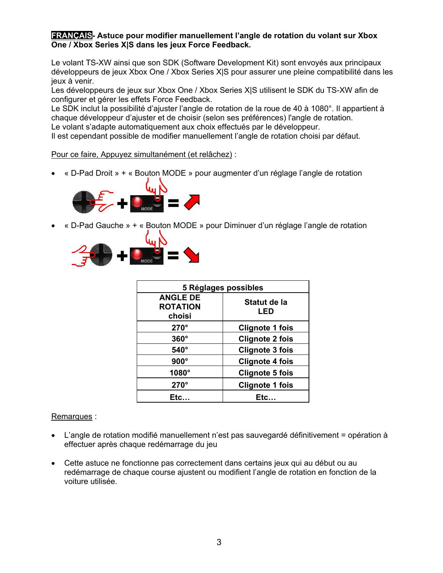#### <span id="page-2-0"></span>**FRANÇAIS- Astuce pour modifier manuellement l'angle de rotation du volant sur Xbox One / Xbox Series X|S dans les jeux Force Feedback.**

Le volant TS-XW ainsi que son SDK (Software Development Kit) sont envoyés aux principaux développeurs de jeux Xbox One / Xbox Series X|S pour assurer une pleine compatibilité dans les jeux à venir.

Les développeurs de jeux sur Xbox One / Xbox Series X|S utilisent le SDK du TS-XW afin de configurer et gérer les effets Force Feedback.

Le SDK inclut la possibilité d'ajuster l'angle de rotation de la roue de 40 à 1080°. Il appartient à chaque développeur d'ajuster et de choisir (selon ses préférences) l'angle de rotation. Le volant s'adapte automatiquement aux choix effectués par le développeur.

Il est cependant possible de modifier manuellement l'angle de rotation choisi par défaut.

#### Pour ce faire, Appuyez simultanément (et relâchez) :

• « D-Pad Droit » + « Bouton MODE » pour augmenter d'un réglage l'angle de rotation



• « D-Pad Gauche » + « Bouton MODE » pour Diminuer d'un réglage l'angle de rotation



| 5 Réglages possibles                         |                        |
|----------------------------------------------|------------------------|
| <b>ANGLE DE</b><br><b>ROTATION</b><br>choisi | Statut de la<br>LED    |
| $270^\circ$                                  | <b>Clignote 1 fois</b> |
| $360^\circ$                                  | <b>Clignote 2 fois</b> |
| $540^\circ$                                  | <b>Clignote 3 fois</b> |
| $900^\circ$                                  | <b>Clignote 4 fois</b> |
| 1080°                                        | <b>Clignote 5 fois</b> |
| $270^\circ$                                  | <b>Clignote 1 fois</b> |
| Etc…                                         | Etc                    |

# Remarques :

- L'angle de rotation modifié manuellement n'est pas sauvegardé définitivement = opération à effectuer après chaque redémarrage du jeu
- Cette astuce ne fonctionne pas correctement dans certains jeux qui au début ou au redémarrage de chaque course ajustent ou modifient l'angle de rotation en fonction de la voiture utilisée.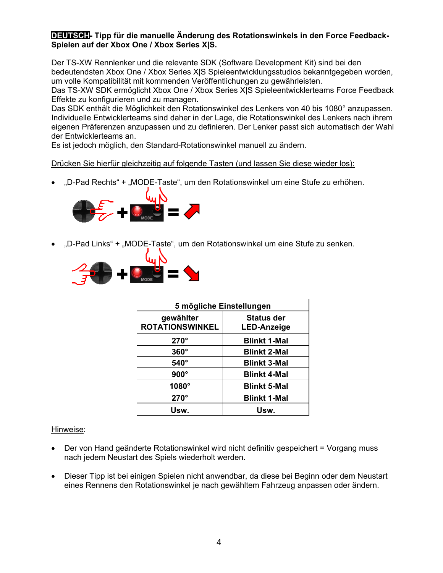# <span id="page-3-0"></span>**DEUTSCH- Tipp für die manuelle Änderung des Rotationswinkels in den Force Feedback-Spielen auf der Xbox One / Xbox Series X|S.**

Der TS-XW Rennlenker und die relevante SDK (Software Development Kit) sind bei den bedeutendsten Xbox One / Xbox Series X|S Spieleentwicklungsstudios bekanntgegeben worden, um volle Kompatibilität mit kommenden Veröffentlichungen zu gewährleisten.

Das TS-XW SDK ermöglicht Xbox One / Xbox Series X|S Spieleentwicklerteams Force Feedback Effekte zu konfigurieren und zu managen.

Das SDK enthält die Möglichkeit den Rotationswinkel des Lenkers von 40 bis 1080° anzupassen. Individuelle Entwicklerteams sind daher in der Lage, die Rotationswinkel des Lenkers nach ihrem eigenen Präferenzen anzupassen und zu definieren. Der Lenker passt sich automatisch der Wahl der Entwicklerteams an.

Es ist jedoch möglich, den Standard-Rotationswinkel manuell zu ändern.

# Drücken Sie hierfür gleichzeitig auf folgende Tasten (und lassen Sie diese wieder los):

"D-Pad Rechts" + "MODE-Taste", um den Rotationswinkel um eine Stufe zu erhöhen.



"D-Pad Links" + "MODE-Taste", um den Rotationswinkel um eine Stufe zu senken.



| 5 mögliche Einstellungen            |                                         |
|-------------------------------------|-----------------------------------------|
| gewählter<br><b>ROTATIONSWINKEL</b> | <b>Status der</b><br><b>LED-Anzeige</b> |
| $270^\circ$                         | <b>Blinkt 1-Mal</b>                     |
| $360^\circ$                         | <b>Blinkt 2-Mal</b>                     |
| $540^\circ$                         | <b>Blinkt 3-Mal</b>                     |
| $900^\circ$                         | <b>Blinkt 4-Mal</b>                     |
| 1080 $^{\circ}$                     | <b>Blinkt 5-Mal</b>                     |
| $270^\circ$                         | <b>Blinkt 1-Mal</b>                     |
| Usw.                                | Usw.                                    |

# Hinweise:

- Der von Hand geänderte Rotationswinkel wird nicht definitiv gespeichert = Vorgang muss nach jedem Neustart des Spiels wiederholt werden.
- Dieser Tipp ist bei einigen Spielen nicht anwendbar, da diese bei Beginn oder dem Neustart eines Rennens den Rotationswinkel je nach gewähltem Fahrzeug anpassen oder ändern.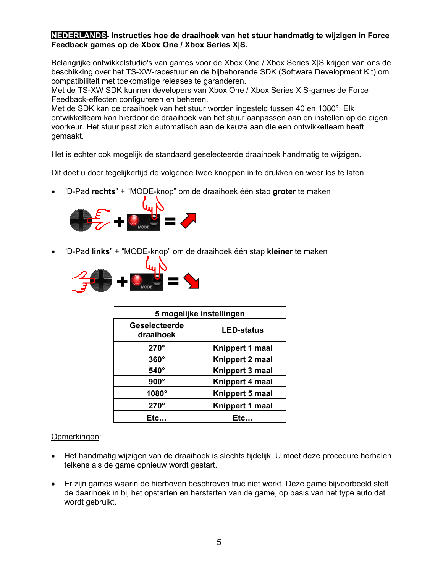# <span id="page-4-0"></span>**NEDERLANDS- Instructies hoe de draaihoek van het stuur handmatig te wijzigen in Force Feedback games op de Xbox One / Xbox Series X|S.**

Belangrijke ontwikkelstudio's van games voor de Xbox One / Xbox Series X|S krijgen van ons de beschikking over het TS-XW-racestuur en de bijbehorende SDK (Software Development Kit) om compatibiliteit met toekomstige releases te garanderen.

Met de TS-XW SDK kunnen developers van Xbox One / Xbox Series X|S-games de Force Feedback-effecten configureren en beheren.

Met de SDK kan de draaihoek van het stuur worden ingesteld tussen 40 en 1080°. Elk ontwikkelteam kan hierdoor de draaihoek van het stuur aanpassen aan en insteIlen op de eigen voorkeur. Het stuur past zich automatisch aan de keuze aan die een ontwikkelteam heeft gemaakt.

Het is echter ook mogelijk de standaard geselecteerde draaihoek handmatig te wijzigen.

Dit doet u door tegelijkertijd de volgende twee knoppen in te drukken en weer los te laten:

• "D-Pad **rechts**" + "MODE-knop" om de draaihoek één stap **groter** te maken



• "D-Pad **links**" + "MODE-knop" om de draaihoek één stap **kleiner** te maken



| 5 mogelijke instellingen   |                   |
|----------------------------|-------------------|
| Geselecteerde<br>draaihoek | <b>LED-status</b> |
| $270^\circ$                | Knippert 1 maal   |
| $360^\circ$                | Knippert 2 maal   |
| $540^\circ$                | Knippert 3 maal   |
| $900^\circ$                | Knippert 4 maal   |
| $1080^\circ$               | Knippert 5 maal   |
| $270^\circ$                | Knippert 1 maal   |
| Etc.                       | Etc.              |

#### Opmerkingen:

- Het handmatig wijzigen van de draaihoek is slechts tijdelijk. U moet deze procedure herhalen telkens als de game opnieuw wordt gestart.
- Er zijn games waarin de hierboven beschreven truc niet werkt. Deze game bijvoorbeeld stelt de daarihoek in bij het opstarten en herstarten van de game, op basis van het type auto dat wordt gebruikt.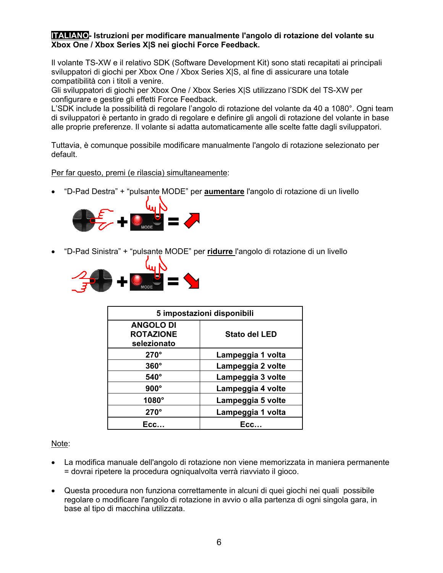### <span id="page-5-0"></span>**ITALIANO- Istruzioni per modificare manualmente l'angolo di rotazione del volante su Xbox One / Xbox Series X|S nei giochi Force Feedback.**

Il volante TS-XW e il relativo SDK (Software Development Kit) sono stati recapitati ai principali sviluppatori di giochi per Xbox One / Xbox Series X|S, al fine di assicurare una totale compatibilità con i titoli a venire.

Gli sviluppatori di giochi per Xbox One / Xbox Series X|S utilizzano l'SDK del TS-XW per configurare e gestire gli effetti Force Feedback.

L'SDK include la possibilità di regolare l'angolo di rotazione del volante da 40 a 1080°. Ogni team di sviluppatori è pertanto in grado di regolare e definire gli angoli di rotazione del volante in base alle proprie preferenze. Il volante si adatta automaticamente alle scelte fatte dagli sviluppatori.

Tuttavia, è comunque possibile modificare manualmente l'angolo di rotazione selezionato per default.

Per far questo, premi (e rilascia) simultaneamente:

• "D-Pad Destra" + "pulsante MODE" per **aumentare** l'angolo di rotazione di un livello



• "D-Pad Sinistra" + "pulsante MODE" per **ridurre** l'angolo di rotazione di un livello



| 5 impostazioni disponibili |                      |
|----------------------------|----------------------|
| <b>ANGOLO DI</b>           |                      |
| <b>ROTAZIONE</b>           | <b>Stato del LED</b> |
| selezionato                |                      |
| $270^\circ$                | Lampeggia 1 volta    |
| $360^\circ$                | Lampeggia 2 volte    |
| 540°                       | Lampeggia 3 volte    |
| $900^\circ$                | Lampeggia 4 volte    |
| 1080°                      | Lampeggia 5 volte    |
| $270^\circ$                | Lampeggia 1 volta    |
| Ecc                        | Ecc                  |

Note:

- La modifica manuale dell'angolo di rotazione non viene memorizzata in maniera permanente = dovrai ripetere la procedura ogniqualvolta verrà riavviato il gioco.
- Questa procedura non funziona correttamente in alcuni di quei giochi nei quali possibile regolare o modificare l'angolo di rotazione in avvio o alla partenza di ogni singola gara, in base al tipo di macchina utilizzata.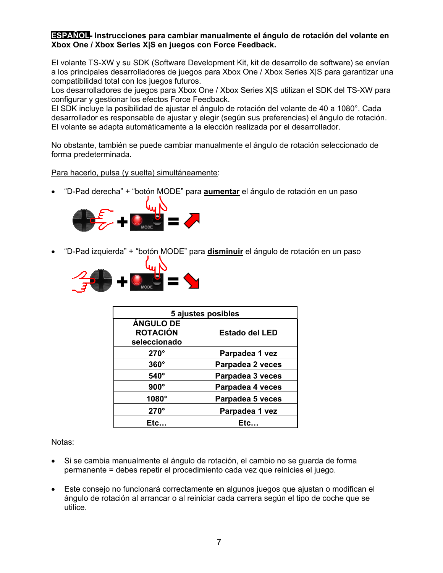### <span id="page-6-0"></span>**ESPAÑOL- Instrucciones para cambiar manualmente el ángulo de rotación del volante en Xbox One / Xbox Series X|S en juegos con Force Feedback.**

El volante TS-XW y su SDK (Software Development Kit, kit de desarrollo de software) se envían a los principales desarrolladores de juegos para Xbox One / Xbox Series X|S para garantizar una compatibilidad total con los juegos futuros.

Los desarrolladores de juegos para Xbox One / Xbox Series X|S utilizan el SDK del TS-XW para configurar y gestionar los efectos Force Feedback.

El SDK incluye la posibilidad de ajustar el ángulo de rotación del volante de 40 a 1080°. Cada desarrollador es responsable de ajustar y elegir (según sus preferencias) el ángulo de rotación. El volante se adapta automáticamente a la elección realizada por el desarrollador.

No obstante, también se puede cambiar manualmente el ángulo de rotación seleccionado de forma predeterminada.

Para hacerlo, pulsa (y suelta) simultáneamente:

• "D-Pad derecha" + "botón MODE" para **aumentar** el ángulo de rotación en un paso



• "D-Pad izquierda" + "botón MODE" para **disminuir** el ángulo de rotación en un paso



| 5 ajustes posibles |                       |
|--------------------|-----------------------|
| <b>ÁNGULO DE</b>   |                       |
| <b>ROTACIÓN</b>    | <b>Estado del LED</b> |
| seleccionado       |                       |
| $270^\circ$        | Parpadea 1 vez        |
| $360^\circ$        | Parpadea 2 veces      |
| 540°               | Parpadea 3 veces      |
| $900^\circ$        | Parpadea 4 veces      |
| 1080 $^{\circ}$    | Parpadea 5 veces      |
| $270^\circ$        | Parpadea 1 vez        |
| Etc.               | Etc.                  |

Notas:

- Si se cambia manualmente el ángulo de rotación, el cambio no se guarda de forma permanente = debes repetir el procedimiento cada vez que reinicies el juego.
- Este consejo no funcionará correctamente en algunos juegos que ajustan o modifican el ángulo de rotación al arrancar o al reiniciar cada carrera según el tipo de coche que se utilice.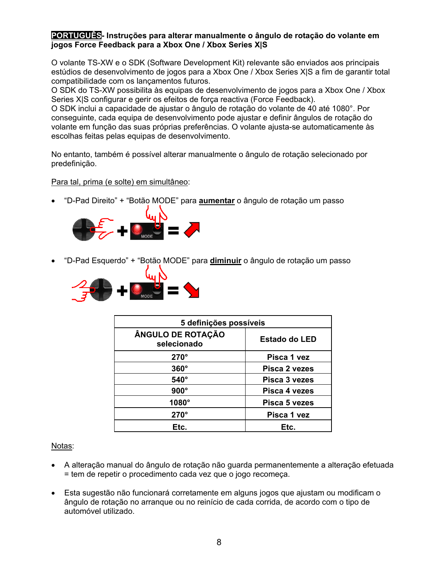### <span id="page-7-0"></span>**PORTUGUÊS- Instruções para alterar manualmente o ângulo de rotação do volante em jogos Force Feedback para a Xbox One / Xbox Series X|S**

O volante TS-XW e o SDK (Software Development Kit) relevante são enviados aos principais estúdios de desenvolvimento de jogos para a Xbox One / Xbox Series X|S a fim de garantir total compatibilidade com os lançamentos futuros.

O SDK do TS-XW possibilita às equipas de desenvolvimento de jogos para a Xbox One / Xbox Series X|S configurar e gerir os efeitos de força reactiva (Force Feedback).

O SDK inclui a capacidade de ajustar o ângulo de rotação do volante de 40 até 1080°. Por conseguinte, cada equipa de desenvolvimento pode ajustar e definir ângulos de rotação do volante em função das suas próprias preferências. O volante ajusta-se automaticamente às escolhas feitas pelas equipas de desenvolvimento.

No entanto, também é possível alterar manualmente o ângulo de rotação selecionado por predefinição.

# Para tal, prima (e solte) em simultâneo:

• "D-Pad Direito" + "Botão MODE" para **aumentar** o ângulo de rotação um passo



• "D-Pad Esquerdo" + "Botão MODE" para **diminuir** o ângulo de rotação um passo



| 5 definições possíveis           |                      |
|----------------------------------|----------------------|
| ÂNGULO DE ROTAÇÃO<br>selecionado | <b>Estado do LED</b> |
| $270^\circ$                      | Pisca 1 yez          |
| $360^\circ$                      | Pisca 2 vezes        |
| $540^\circ$                      | Pisca 3 yezes        |
| $900^\circ$                      | Pisca 4 vezes        |
| $1080^\circ$                     | Pisca 5 vezes        |
| $270^\circ$                      | Pisca 1 vez          |
| Etc.                             | Etc.                 |

# Notas:

- A alteração manual do ângulo de rotação não guarda permanentemente a alteração efetuada = tem de repetir o procedimento cada vez que o jogo recomeça.
- Esta sugestão não funcionará corretamente em alguns jogos que ajustam ou modificam o ângulo de rotação no arranque ou no reinício de cada corrida, de acordo com o tipo de automóvel utilizado.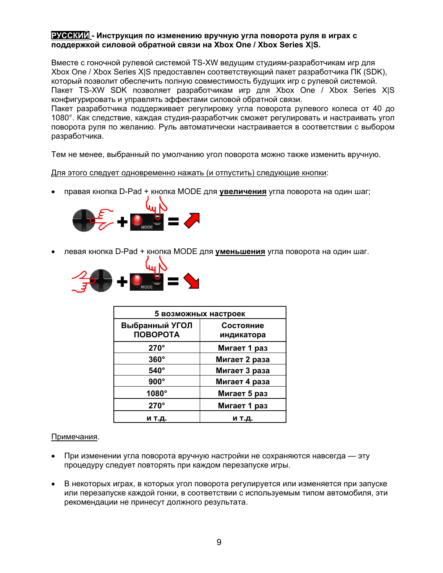#### <span id="page-8-0"></span>**РУССКИЙ - Инструкция по изменению вручную угла поворота руля в играх с поддержкой силовой обратной связи на Xbox One / Xbox Series X|S.**

Вместе с гоночной рулевой системой TS-XW ведущим студиям-разработчикам игр для Xbox One / Xbox Series X|S предоставлен соответствующий пакет разработчика ПК (SDK), который позволит обеспечить полную совместимость будущих игр с рулевой системой. Пакет TS-XW SDK позволяет разработчикам игр для Xbox One / Xbox Series X|S конфигурировать и управлять эффектами силовой обратной связи.

Пакет разработчика поддерживает регулировку угла поворота рулевого колеса от 40 до 1080°. Как следствие, каждая студия-разработчик сможет регулировать и настраивать угол поворота руля по желанию. Руль автоматически настраивается в соответствии с выбором разработчика.

Тем не менее, выбранный по умолчанию угол поворота можно также изменить вручную.

#### Для этого следует одновременно нажать (и отпустить) следующие кнопки:

• правая кнопка D-Pad + кнопка MODE для **увеличения** угла поворота на один шаг;



• левая кнопка D-Pad + кнопка MODE для **уменьшения** угла поворота на один шаг.



| 5 возможных настроек              |                         |  |
|-----------------------------------|-------------------------|--|
| Выбранный УГОЛ<br><b>ПОВОРОТА</b> | Состояние<br>индикатора |  |
| $270^\circ$                       | Мигает 1 раз            |  |
| $360^\circ$                       | Мигает 2 раза           |  |
| $540^\circ$                       | Мигает 3 раза           |  |
| $900^\circ$                       | Мигает 4 раза           |  |
| 1080°                             | Мигает 5 раз            |  |
| $270^\circ$                       | Мигает 1 раз            |  |
| и т.д.                            | и т.д.                  |  |

#### Примечания.

- При изменении угла поворота вручную настройки не сохраняются навсегда эту процедуру следует повторять при каждом перезапуске игры.
- В некоторых играх, в которых угол поворота регулируется или изменяется при запуске или перезапуске каждой гонки, в соответствии с используемым типом автомобиля, эти рекомендации не принесут должного результата.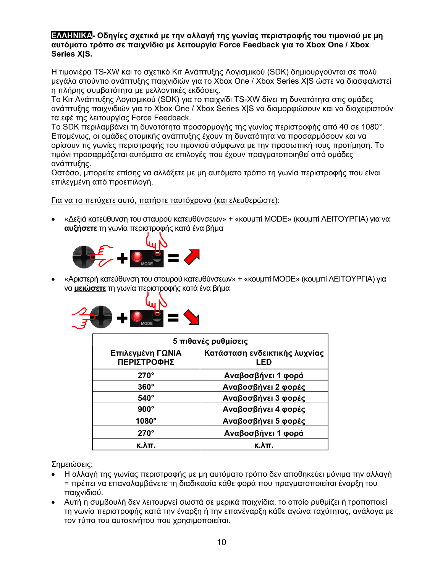### <span id="page-9-0"></span>**ΕΛΛΗΝΙΚΑ- Οδηγίες σχετικά με την αλλαγή της γωνίας περιστροφής του τιμονιού με μη αυτόματο τρόπο σε παιχνίδια με λειτουργία Force Feedback για το Xbox One / Xbox Series X|S.**

Η τιμονιέρα TS-XW και το σχετικό Κιτ Ανάπτυξης Λογισμικού (SDK) δημιουργούνται σε πολύ μεγάλα στούντιο ανάπτυξης παιχνιδιών για το Xbox One / Xbox Series X|S ώστε να διασφαλιστεί η πλήρης συμβατότητα με μελλοντικές εκδόσεις.

Το Κιτ Ανάπτυξης Λογισμικού (SDK) για το παιχνίδι TS-XW δίνει τη δυνατότητα στις ομάδες ανάπτυξης παιχνιδιών για το Xbox One / Xbox Series X|S να διαμορφώσουν και να διαχειριστούν τα εφέ της λειτουργίας Force Feedback.

Το SDK περιλαμβάνει τη δυνατότητα προσαρμογής της γωνίας περιστροφής από 40 σε 1080°. Επομένως, οι ομάδες ατομικής ανάπτυξης έχουν τη δυνατότητα να προσαρμόσουν και να ορίσουν τις γωνίες περιστροφής του τιμονιού σύμφωνα με την προσωπική τους προτίμηση. Το τιμόνι προσαρμόζεται αυτόματα σε επιλογές που έχουν πραγματοποιηθεί από ομάδες ανάπτυξης.

Ωστόσο, μπορείτε επίσης να αλλάξετε με μη αυτόματο τρόπο τη γωνία περιστροφής που είναι επιλεγμένη από προεπιλογή.

Για να το πετύχετε αυτό, πατήστε ταυτόχρονα (και ελευθερώστε):

• «Δεξιά κατεύθυνση του σταυρού κατευθύνσεων» + «κουμπί MODE» (κουμπί ΛΕΙΤΟΥΡΓΙΑ) για να **αυξήσετε** τη γωνία περιστροφής κατά ένα βήμα



• «Αριστερή κατεύθυνση του σταυρού κατευθύνσεων» + «κουμπί MODE» (κουμπί ΛΕΙΤΟΥΡΓΙΑ) για να **μειώσετε** τη γωνία περιστροφής κατά ένα βήμα



| 5 πιθανές ρυθμίσεις             |                                      |
|---------------------------------|--------------------------------------|
| Επιλεγμένη ΓΩΝΙΑ<br>ΠΕΡΙΣΤΡΟΦΗΣ | Κατάσταση ενδεικτικής λυχνίας<br>LED |
| $270^\circ$                     | Αναβοσβήνει 1 φορά                   |
| $360^\circ$                     | Αναβοσβήνει 2 φορές                  |
| $540^\circ$                     | Αναβοσβήνει 3 φορές                  |
| $900^\circ$                     | Αναβοσβήνει 4 φορές                  |
| 1080°                           | Αναβοσβήνει 5 φορές                  |
| $270^\circ$                     | Αναβοσβήνει 1 φορά                   |
| к.λπ.                           | к.λπ.                                |

Σημειώσεις:

- Η αλλαγή της γωνίας περιστροφής με μη αυτόματο τρόπο δεν αποθηκεύει μόνιμα την αλλαγή = πρέπει να επαναλαμβάνετε τη διαδικασία κάθε φορά που πραγματοποιείται έναρξη του παιχνιδιού.
- Αυτή η συμβουλή δεν λειτουργεί σωστά σε μερικά παιχνίδια, το οποίο ρυθμίζει ή τροποποιεί τη γωνία περιστροφής κατά την έναρξη ή την επανέναρξη κάθε αγώνα ταχύτητας, ανάλογα με τον τύπο του αυτοκινήτου που χρησιμοποιείται.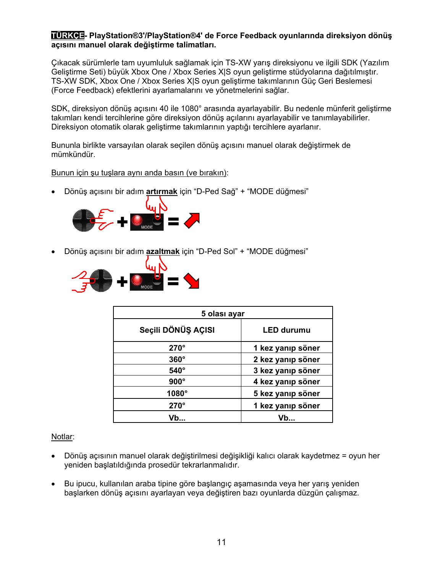### <span id="page-10-0"></span>**TÜRKÇE- PlayStation®3'/PlayStation®4' de Force Feedback oyunlarında direksiyon dönüş açısını manuel olarak değiştirme talimatları.**

Çıkacak sürümlerle tam uyumluluk sağlamak için TS-XW yarış direksiyonu ve ilgili SDK (Yazılım Geliştirme Seti) büyük Xbox One / Xbox Series X|S oyun geliştirme stüdyolarına dağıtılmıştır. TS-XW SDK, Xbox One / Xbox Series X|S oyun geliştirme takımlarının Güç Geri Beslemesi (Force Feedback) efektlerini ayarlamalarını ve yönetmelerini sağlar.

SDK, direksiyon dönüş açısını 40 ile 1080° arasında ayarlayabilir. Bu nedenle münferit geliştirme takımları kendi tercihlerine göre direksiyon dönüş açılarını ayarlayabilir ve tanımlayabilirler. Direksiyon otomatik olarak geliştirme takımlarının yaptığı tercihlere ayarlanır.

Bununla birlikte varsayılan olarak seçilen dönüş açısını manuel olarak değiştirmek de mümkündür.

Bunun için şu tuşlara aynı anda basın (ve bırakın):

• Dönüş açısını bir adım **artırmak** için "D-Ped Sağ" + "MODE düğmesi"



• Dönüş açısını bir adım **azaltmak** için "D-Ped Sol" + "MODE düğmesi"



| 5 olası ayar       |                   |
|--------------------|-------------------|
| Seçili DÖNÜŞ AÇISI | <b>LED durumu</b> |
| $270^\circ$        | 1 kez yanıp söner |
| $360^\circ$        | 2 kez yanıp söner |
| $540^\circ$        | 3 kez yanıp söner |
| $900^\circ$        | 4 kez yanıp söner |
| $1080^\circ$       | 5 kez yanıp söner |
| $270^\circ$        | 1 kez yanıp söner |
| Vh…                | Vb                |

# Notlar:

- Dönüş açısının manuel olarak değiştirilmesi değişikliği kalıcı olarak kaydetmez = oyun her yeniden başlatıldığında prosedür tekrarlanmalıdır.
- Bu ipucu, kullanılan araba tipine göre başlangıç aşamasında veya her yarış yeniden başlarken dönüş açısını ayarlayan veya değiştiren bazı oyunlarda düzgün çalışmaz.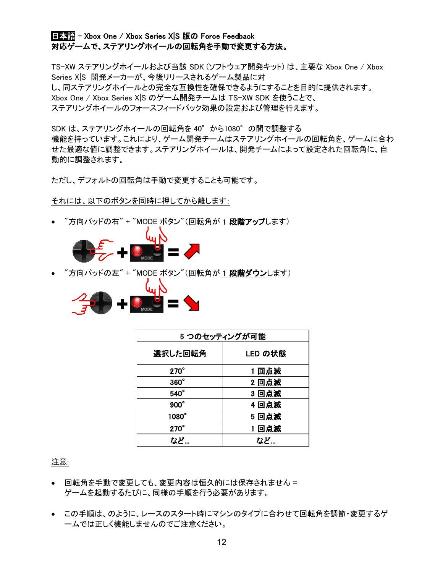# <span id="page-11-0"></span>日本語 - Xbox One / Xbox Series X|S 版の Force Feedback 対応ゲームで、ステアリングホイールの回転角を手動で変更する方法。

TS-XW ステアリングホイールおよび当該 SDK (ソフトウェア開発キット) は、主要な Xbox One / Xbox Series X|S 開発メーカーが、今後リリースされるゲーム製品に対 し、同ステアリングホイールとの完全な互換性を確保できるようにすることを目的に提供されます。 Xbox One / Xbox Series X|S のゲーム開発チームは TS-XW SDK を使うことで、 ステアリングホイールのフォースフィードバック効果の設定および管理を行えます。

SDK は、ステアリングホイールの回転角を 40°から1080°の間で調整する 機能を持っています。これにより、ゲーム開発チームはステアリングホイールの回転角を、ゲームに合わ せた最適な値に調整できます。ステアリングホイールは、開発チームによって設定された回転角に、自 動的に調整されます。

ただし、デフォルトの回転角は手動で変更することも可能です。

それには、以下のボタンを同時に押してから離します:

*"*方向パッドの右" + "MODE ボタン"(回転角が 1 **段階アップ**します)



• "方向パッドの左" + "MODE ボタン"(回転角が <mark>1 段階ダウン</mark>します)



| 5つのセッティングが可能 |         |
|--------------|---------|
| 選択した回転角      | LED の状態 |
| $270^\circ$  | 1回点滅    |
| $360^\circ$  | 2回点滅    |
| $540^\circ$  | 3回点滅    |
| $900^\circ$  | 4回点滅    |
| 1080°        | 5回点滅    |
| $270^\circ$  | 1回点滅    |
| など…          | など…     |

注意:

- 回転角を手動で変更しても、変更内容は恒久的には保存されません = ゲームを起動するたびに、同様の手順を行う必要があります。
- この手順は、のように、レースのスタート時にマシンのタイプに合わせて回転角を調節・変更するゲ ームでは正しく機能しませんのでご注意ください。